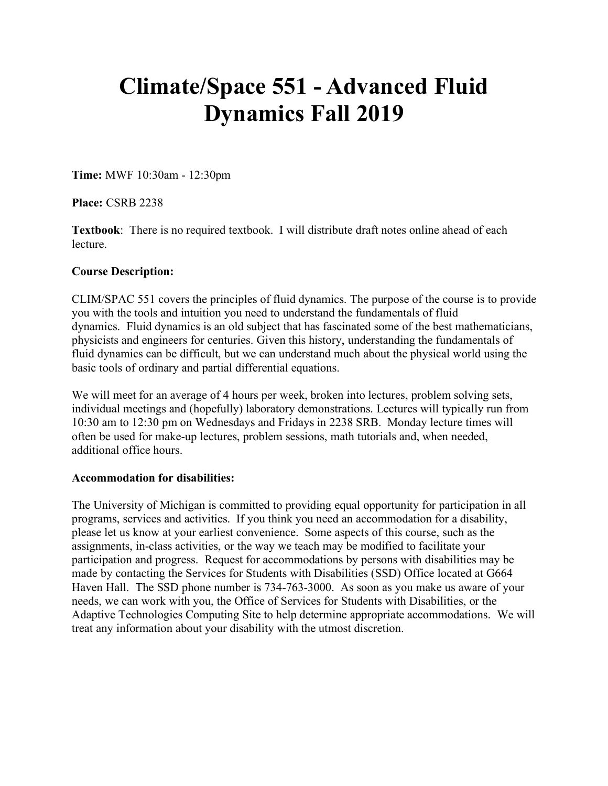# **Climate/Space 551 - Advanced Fluid Dynamics Fall 2019**

**Time:** MWF 10:30am - 12:30pm

**Place:** CSRB 2238

**Textbook**: There is no required textbook. I will distribute draft notes online ahead of each lecture.

#### **Course Description:**

CLIM/SPAC 551 covers the principles of fluid dynamics. The purpose of the course is to provide you with the tools and intuition you need to understand the fundamentals of fluid dynamics. Fluid dynamics is an old subject that has fascinated some of the best mathematicians, physicists and engineers for centuries. Given this history, understanding the fundamentals of fluid dynamics can be difficult, but we can understand much about the physical world using the basic tools of ordinary and partial differential equations.

We will meet for an average of 4 hours per week, broken into lectures, problem solving sets, individual meetings and (hopefully) laboratory demonstrations. Lectures will typically run from 10:30 am to 12:30 pm on Wednesdays and Fridays in 2238 SRB. Monday lecture times will often be used for make-up lectures, problem sessions, math tutorials and, when needed, additional office hours.

## **Accommodation for disabilities:**

The University of Michigan is committed to providing equal opportunity for participation in all programs, services and activities. If you think you need an accommodation for a disability, please let us know at your earliest convenience. Some aspects of this course, such as the assignments, in-class activities, or the way we teach may be modified to facilitate your participation and progress. Request for accommodations by persons with disabilities may be made by contacting the Services for Students with Disabilities (SSD) Office located at G664 Haven Hall. The SSD phone number is 734-763-3000. As soon as you make us aware of your needs, we can work with you, the Office of Services for Students with Disabilities, or the Adaptive Technologies Computing Site to help determine appropriate accommodations. We will treat any information about your disability with the utmost discretion.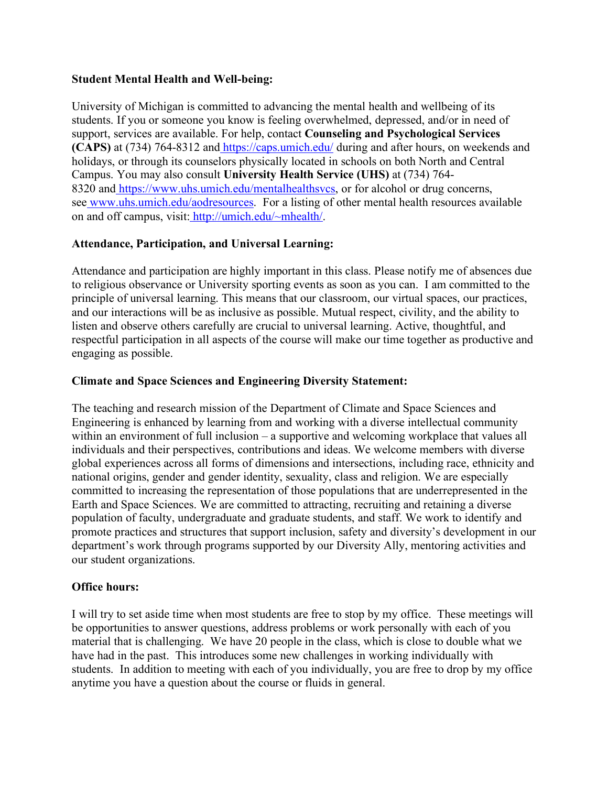#### **Student Mental Health and Well-being:**

University of Michigan is committed to advancing the mental health and wellbeing of its students. If you or someone you know is feeling overwhelmed, depressed, and/or in need of support, services are available. For help, contact **Counseling and Psychological Services (CAPS)** at (734) 764-8312 and https://caps.umich.edu/ during and after hours, on weekends and holidays, or through its counselors physically located in schools on both North and Central Campus. You may also consult **University Health Service (UHS)** at (734) 764- 8320 and https://www.uhs.umich.edu/mentalhealthsvcs, or for alcohol or drug concerns, see www.uhs.umich.edu/aodresources. For a listing of other mental health resources available on and off campus, visit: http://umich.edu/~mhealth/.

## **Attendance, Participation, and Universal Learning:**

Attendance and participation are highly important in this class. Please notify me of absences due to religious observance or University sporting events as soon as you can. I am committed to the principle of universal learning. This means that our classroom, our virtual spaces, our practices, and our interactions will be as inclusive as possible. Mutual respect, civility, and the ability to listen and observe others carefully are crucial to universal learning. Active, thoughtful, and respectful participation in all aspects of the course will make our time together as productive and engaging as possible.

#### **Climate and Space Sciences and Engineering Diversity Statement:**

The teaching and research mission of the Department of Climate and Space Sciences and Engineering is enhanced by learning from and working with a diverse intellectual community within an environment of full inclusion – a supportive and welcoming workplace that values all individuals and their perspectives, contributions and ideas. We welcome members with diverse global experiences across all forms of dimensions and intersections, including race, ethnicity and national origins, gender and gender identity, sexuality, class and religion. We are especially committed to increasing the representation of those populations that are underrepresented in the Earth and Space Sciences. We are committed to attracting, recruiting and retaining a diverse population of faculty, undergraduate and graduate students, and staff. We work to identify and promote practices and structures that support inclusion, safety and diversity's development in our department's work through programs supported by our Diversity Ally, mentoring activities and our student organizations.

#### **Office hours:**

I will try to set aside time when most students are free to stop by my office. These meetings will be opportunities to answer questions, address problems or work personally with each of you material that is challenging. We have 20 people in the class, which is close to double what we have had in the past. This introduces some new challenges in working individually with students. In addition to meeting with each of you individually, you are free to drop by my office anytime you have a question about the course or fluids in general.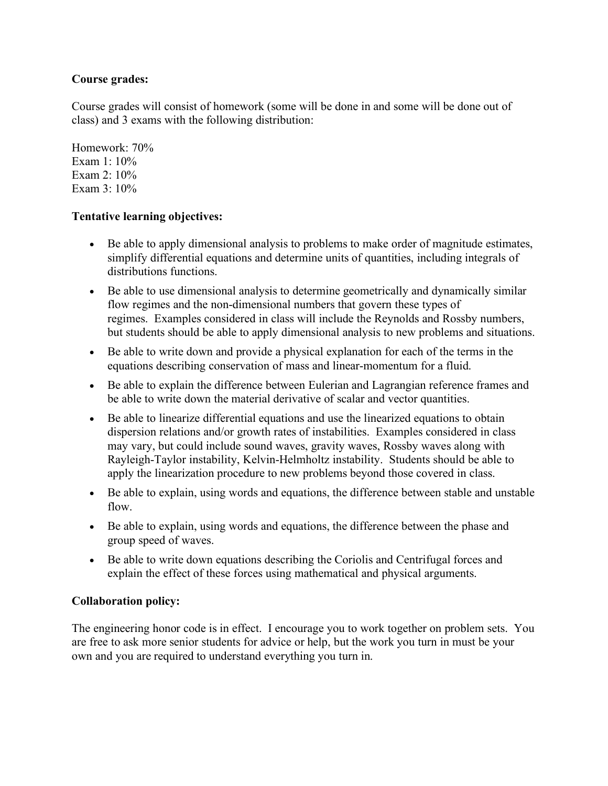# **Course grades:**

Course grades will consist of homework (some will be done in and some will be done out of class) and 3 exams with the following distribution:

Homework: 70% Exam  $1:10\%$ Exam 2: 10% Exam  $3 \cdot 10\%$ 

## **Tentative learning objectives:**

- Be able to apply dimensional analysis to problems to make order of magnitude estimates, simplify differential equations and determine units of quantities, including integrals of distributions functions.
- Be able to use dimensional analysis to determine geometrically and dynamically similar flow regimes and the non-dimensional numbers that govern these types of regimes. Examples considered in class will include the Reynolds and Rossby numbers, but students should be able to apply dimensional analysis to new problems and situations.
- Be able to write down and provide a physical explanation for each of the terms in the equations describing conservation of mass and linear-momentum for a fluid.
- Be able to explain the difference between Eulerian and Lagrangian reference frames and be able to write down the material derivative of scalar and vector quantities.
- Be able to linearize differential equations and use the linearized equations to obtain dispersion relations and/or growth rates of instabilities. Examples considered in class may vary, but could include sound waves, gravity waves, Rossby waves along with Rayleigh-Taylor instability, Kelvin-Helmholtz instability. Students should be able to apply the linearization procedure to new problems beyond those covered in class.
- Be able to explain, using words and equations, the difference between stable and unstable flow.
- Be able to explain, using words and equations, the difference between the phase and group speed of waves.
- Be able to write down equations describing the Coriolis and Centrifugal forces and explain the effect of these forces using mathematical and physical arguments.

# **Collaboration policy:**

The engineering honor code is in effect. I encourage you to work together on problem sets. You are free to ask more senior students for advice or help, but the work you turn in must be your own and you are required to understand everything you turn in.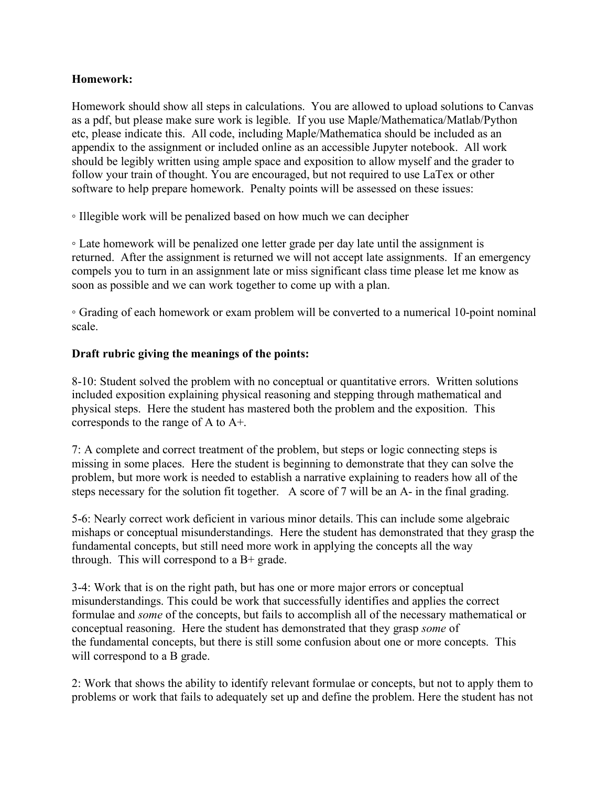#### **Homework:**

Homework should show all steps in calculations. You are allowed to upload solutions to Canvas as a pdf, but please make sure work is legible. If you use Maple/Mathematica/Matlab/Python etc, please indicate this. All code, including Maple/Mathematica should be included as an appendix to the assignment or included online as an accessible Jupyter notebook. All work should be legibly written using ample space and exposition to allow myself and the grader to follow your train of thought. You are encouraged, but not required to use LaTex or other software to help prepare homework. Penalty points will be assessed on these issues:

◦ Illegible work will be penalized based on how much we can decipher

◦ Late homework will be penalized one letter grade per day late until the assignment is returned. After the assignment is returned we will not accept late assignments. If an emergency compels you to turn in an assignment late or miss significant class time please let me know as soon as possible and we can work together to come up with a plan.

◦ Grading of each homework or exam problem will be converted to a numerical 10-point nominal scale.

#### **Draft rubric giving the meanings of the points:**

8-10: Student solved the problem with no conceptual or quantitative errors. Written solutions included exposition explaining physical reasoning and stepping through mathematical and physical steps. Here the student has mastered both the problem and the exposition. This corresponds to the range of A to A+.

7: A complete and correct treatment of the problem, but steps or logic connecting steps is missing in some places. Here the student is beginning to demonstrate that they can solve the problem, but more work is needed to establish a narrative explaining to readers how all of the steps necessary for the solution fit together. A score of 7 will be an A- in the final grading.

5-6: Nearly correct work deficient in various minor details. This can include some algebraic mishaps or conceptual misunderstandings. Here the student has demonstrated that they grasp the fundamental concepts, but still need more work in applying the concepts all the way through. This will correspond to a B+ grade.

3-4: Work that is on the right path, but has one or more major errors or conceptual misunderstandings. This could be work that successfully identifies and applies the correct formulae and *some* of the concepts, but fails to accomplish all of the necessary mathematical or conceptual reasoning. Here the student has demonstrated that they grasp *some* of the fundamental concepts, but there is still some confusion about one or more concepts. This will correspond to a B grade.

2: Work that shows the ability to identify relevant formulae or concepts, but not to apply them to problems or work that fails to adequately set up and define the problem. Here the student has not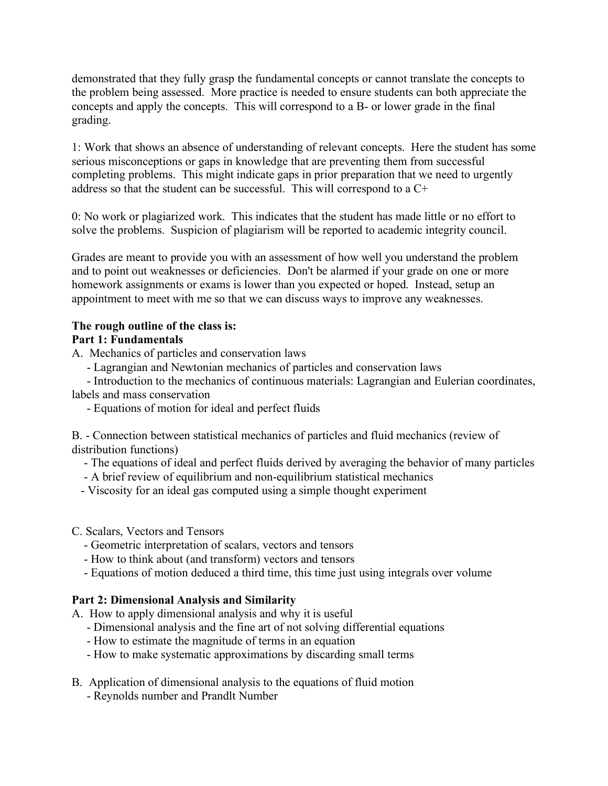demonstrated that they fully grasp the fundamental concepts or cannot translate the concepts to the problem being assessed. More practice is needed to ensure students can both appreciate the concepts and apply the concepts. This will correspond to a B- or lower grade in the final grading.

1: Work that shows an absence of understanding of relevant concepts. Here the student has some serious misconceptions or gaps in knowledge that are preventing them from successful completing problems. This might indicate gaps in prior preparation that we need to urgently address so that the student can be successful. This will correspond to a C+

0: No work or plagiarized work. This indicates that the student has made little or no effort to solve the problems. Suspicion of plagiarism will be reported to academic integrity council.

Grades are meant to provide you with an assessment of how well you understand the problem and to point out weaknesses or deficiencies. Don't be alarmed if your grade on one or more homework assignments or exams is lower than you expected or hoped. Instead, setup an appointment to meet with me so that we can discuss ways to improve any weaknesses.

# **The rough outline of the class is:**

# **Part 1: Fundamentals**

A. Mechanics of particles and conservation laws

- Lagrangian and Newtonian mechanics of particles and conservation laws

 - Introduction to the mechanics of continuous materials: Lagrangian and Eulerian coordinates, labels and mass conservation

- Equations of motion for ideal and perfect fluids

B. - Connection between statistical mechanics of particles and fluid mechanics (review of distribution functions)

- The equations of ideal and perfect fluids derived by averaging the behavior of many particles
- A brief review of equilibrium and non-equilibrium statistical mechanics
- Viscosity for an ideal gas computed using a simple thought experiment
- C. Scalars, Vectors and Tensors
	- Geometric interpretation of scalars, vectors and tensors
	- How to think about (and transform) vectors and tensors
	- Equations of motion deduced a third time, this time just using integrals over volume

# **Part 2: Dimensional Analysis and Similarity**

- A. How to apply dimensional analysis and why it is useful
	- Dimensional analysis and the fine art of not solving differential equations
	- How to estimate the magnitude of terms in an equation
	- How to make systematic approximations by discarding small terms
- B. Application of dimensional analysis to the equations of fluid motion - Reynolds number and Prandlt Number